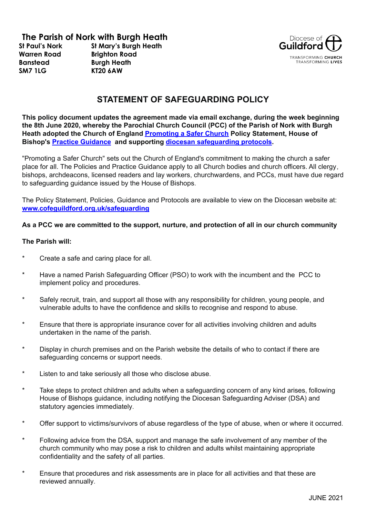# **The Parish of Nork with Burgh Heath**

**St Paul's Nork Warren Road Banstead SM7 1LG**

**St Mary's Burgh Heath Brighton Road Burgh Heath KT20 6AW**



## **STATEMENT OF SAFEGUARDING POLICY**

**This policy document updates the agreement made via email exchange, during the week beginning the 8th June 2020, whereby the Parochial Church Council (PCC) of the Parish of Nork with Burgh Heath adopted the Church of England [Promoting](https://www.churchofengland.org/sites/default/files/2017-11/cofe-policy-statement.pdf) a Safer Church Policy Statement, House of Bishop's Practice [Guidance](https://www.churchofengland.org/safeguarding/policy-and-practice-guidance) and supporting diocesan [safeguarding](https://www.cofeguildford.org.uk/about/safeguarding/safeguarding-resources) protocols.**

"Promoting a Safer Church" sets out the Church of England's commitment to making the church a safer place for all. The Policies and Practice Guidance apply to all Church bodies and church officers. All clergy, bishops, archdeacons, licensed readers and lay workers, churchwardens, and PCCs, must have due regard to safeguarding guidance issued by the House of Bishops.

The Policy Statement, Policies, Guidance and Protocols are available to view on the Diocesan website at: **[www.cofeguildford.org.uk/safeguarding](http://www.cofeguildford.org.uk/safeguarding)**

#### **As a PCC we are committed to the support, nurture, and protection of all in our church community**

#### **The Parish will:**

- Create a safe and caring place for all.
- Have a named Parish Safeguarding Officer (PSO) to work with the incumbent and the PCC to implement policy and procedures.
- Safely recruit, train, and support all those with any responsibility for children, young people, and vulnerable adults to have the confidence and skills to recognise and respond to abuse.
- Ensure that there is appropriate insurance cover for all activities involving children and adults undertaken in the name of the parish.
- Display in church premises and on the Parish website the details of who to contact if there are safeguarding concerns or support needs.
- \* Listen to and take seriously all those who disclose abuse.
- Take steps to protect children and adults when a safeguarding concern of any kind arises, following House of Bishops guidance, including notifying the Diocesan Safeguarding Adviser (DSA) and statutory agencies immediately.
- Offer support to victims/survivors of abuse regardless of the type of abuse, when or where it occurred.
- Following advice from the DSA, support and manage the safe involvement of any member of the church community who may pose a risk to children and adults whilst maintaining appropriate confidentiality and the safety of all parties.
- \* Ensure that procedures and risk assessments are in place for all activities and that these are reviewed annually.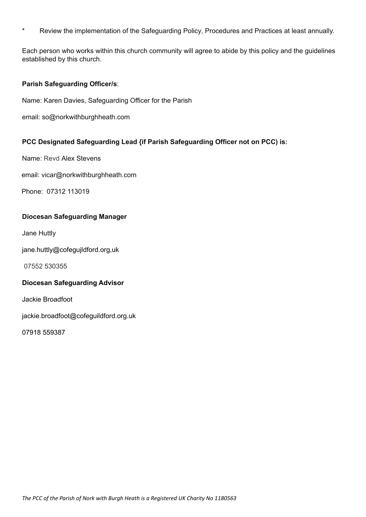\* Review the implementation of the Safeguarding Policy, Procedures and Practices at least annually.

Each person who works within this church community will agree to abide by this policy and the guidelines established by this church.

#### **Parish Safeguarding Officer/s**:

Name: Karen Davies, Safeguarding Officer for the Parish

email: [so@norkwithburghheath.com](mailto:so@norkwithburghheath.com)

### **PCC Designated Safeguarding Lead {if Parish Safeguarding Officer not on PCC) is:**

Name: Revd Alex Stevens

email: [vicar@norkwithburghheath.com](mailto:vicar@norkwithburghheath.com)

Phone: 07312 113019

#### **Diocesan Safeguarding Manager**

Jane Huttly

jane.huttly@cofegujldford.org,uk

07552 530355

#### **Diocesan Safeguarding Advisor**

Jackie Broadfoot

jackie.broadfoot@cofeguildford.org.uk

07918 559387